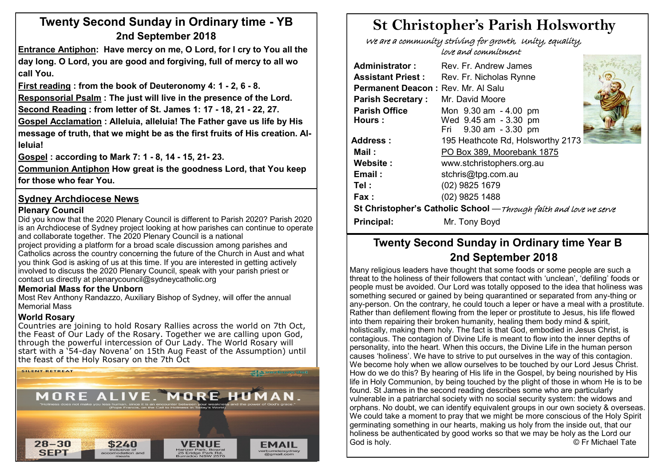# **Twenty Second Sunday in Ordinary time - YB 2nd September 2018**

**Entrance Antiphon: Have mercy on me, O Lord, for I cry to You all the day long. O Lord, you are good and forgiving, full of mercy to all wo call You.**

**First reading : from the book of Deuteronomy 4: 1 - 2, 6 - 8.** 

**Responsorial Psalm : The just will live in the presence of the Lord.**

**Second Reading : from letter of St. James 1: 17 - 18, 21 - 22, 27.** 

**Gospel Acclamation : Alleluia, alleluia! The Father gave us life by His message of truth, that we might be as the first fruits of His creation. Alleluia!**

**Gospel : according to Mark 7: 1 - 8, 14 - 15, 21- 23.**

**Communion Antiphon How great is the goodness Lord, that You keep for those who fear You.**

### **Sydney Archdiocese News**

#### **Plenary Council**

Did you know that the 2020 Plenary Council is different to Parish 2020? Parish 2020 is an Archdiocese of Sydney project looking at how parishes can continue to operate and collaborate together. The 2020 Plenary Council is a national

project providing a platform for a broad scale discussion among parishes and Catholics across the country concerning the future of the Church in Aust and what you think God is asking of us at this time. If you are interested in getting actively involved to discuss the 2020 Plenary Council, speak with your parish priest or contact us directly at plenarycouncil@sydneycatholic.org

#### **Memorial Mass for the Unborn**

Most Rev Anthony Randazzo, Auxiliary Bishop of Sydney, will offer the annual Memorial Mass

#### **World Rosary**

Countries are joining to hold Rosary Rallies across the world on 7th Oct, the Feast of Our Lady of the Rosary. Together we are calling upon God, through the powerful intercession of Our Lady. The World Rosary will start with a '54-day Novena' on 15th Aug Feast of the Assumption) until the feast of the Holy Rosary on the 7th Oct



# **St Christopher's Parish Holsworthy**

 We are a community striving for growth, Unity, equality, love and commitment

| <b>Administrator:</b>                                             | Rev. Fr. Andrew James             |  |  |  |  |
|-------------------------------------------------------------------|-----------------------------------|--|--|--|--|
| <b>Assistant Priest:</b>                                          | Rev. Fr. Nicholas Rynne           |  |  |  |  |
| Permanent Deacon: Rev. Mr. Al Salu                                |                                   |  |  |  |  |
| <b>Parish Secretary:</b>                                          | Mr. David Moore                   |  |  |  |  |
| <b>Parish Office</b>                                              | Mon 9.30 am - 4.00 pm             |  |  |  |  |
| Hours:                                                            | Wed 9.45 am - 3.30 pm             |  |  |  |  |
|                                                                   | Fri 9.30 am - 3.30 pm             |  |  |  |  |
| Address :                                                         | 195 Heathcote Rd, Holsworthy 2173 |  |  |  |  |
| Mail :                                                            | PO Box 389, Moorebank 1875        |  |  |  |  |
| Website:                                                          | www.stchristophers.org.au         |  |  |  |  |
| Email:                                                            | stchris@tpg.com.au                |  |  |  |  |
| Tel :                                                             | (02) 9825 1679                    |  |  |  |  |
| Fax :                                                             | (02) 9825 1488                    |  |  |  |  |
| St Christopher's Catholic School -Through faith and love we serve |                                   |  |  |  |  |
| Principal:                                                        | Mr. Tony Boyd                     |  |  |  |  |

## **Twenty Second Sunday in Ordinary time Year B 2nd September 2018**

Many religious leaders have thought that some foods or some people are such a threat to the holiness of their followers that contact with 'unclean', 'defiling' foods or people must be avoided. Our Lord was totally opposed to the idea that holiness was something secured or gained by being quarantined or separated from any-thing or any-person. On the contrary, he could touch a leper or have a meal with a prostitute. Rather than defilement flowing from the leper or prostitute to Jesus, his life flowed into them repairing their broken humanity, healing them body mind & spirit, holistically, making them holy. The fact is that God, embodied in Jesus Christ, is contagious. The contagion of Divine Life is meant to flow into the inner depths of personality, into the heart. When this occurs, the Divine Life in the human person causes 'holiness'. We have to strive to put ourselves in the way of this contagion. We become holy when we allow ourselves to be touched by our Lord Jesus Christ. How do we do this? By hearing of His life in the Gospel, by being nourished by His life in Holy Communion, by being touched by the plight of those in whom He is to be found. St James in the second reading describes some who are particularly vulnerable in a patriarchal society with no social security system: the widows and orphans. No doubt, we can identify equivalent groups in our own society & overseas. We could take a moment to pray that we might be more conscious of the Holy Spirit germinating something in our hearts, making us holy from the inside out, that our holiness be authenticated by good works so that we may be holy as the Lord our God is holy. © Fr Michael Tate